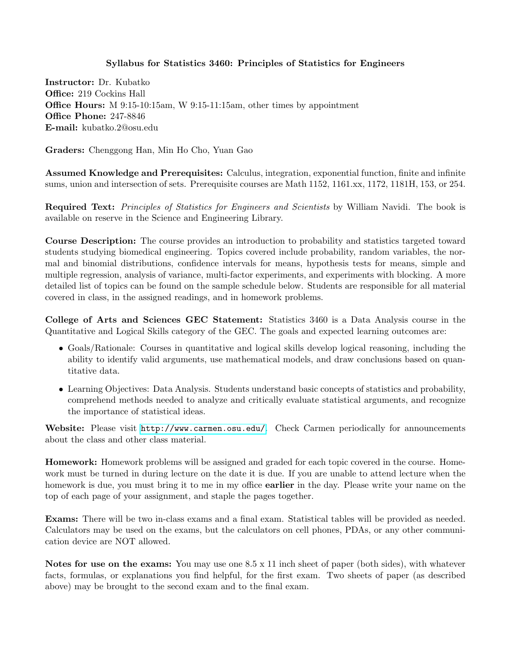## Syllabus for Statistics 3460: Principles of Statistics for Engineers

Instructor: Dr. Kubatko Office: 219 Cockins Hall Office Hours: M 9:15-10:15am, W 9:15-11:15am, other times by appointment Office Phone: 247-8846 E-mail: kubatko.2@osu.edu

Graders: Chenggong Han, Min Ho Cho, Yuan Gao

Assumed Knowledge and Prerequisites: Calculus, integration, exponential function, finite and infinite sums, union and intersection of sets. Prerequisite courses are Math 1152, 1161.xx, 1172, 1181H, 153, or 254.

Required Text: Principles of Statistics for Engineers and Scientists by William Navidi. The book is available on reserve in the Science and Engineering Library.

Course Description: The course provides an introduction to probability and statistics targeted toward students studying biomedical engineering. Topics covered include probability, random variables, the normal and binomial distributions, confidence intervals for means, hypothesis tests for means, simple and multiple regression, analysis of variance, multi-factor experiments, and experiments with blocking. A more detailed list of topics can be found on the sample schedule below. Students are responsible for all material covered in class, in the assigned readings, and in homework problems.

College of Arts and Sciences GEC Statement: Statistics 3460 is a Data Analysis course in the Quantitative and Logical Skills category of the GEC. The goals and expected learning outcomes are:

- Goals/Rationale: Courses in quantitative and logical skills develop logical reasoning, including the ability to identify valid arguments, use mathematical models, and draw conclusions based on quantitative data.
- Learning Objectives: Data Analysis. Students understand basic concepts of statistics and probability, comprehend methods needed to analyze and critically evaluate statistical arguments, and recognize the importance of statistical ideas.

Website: Please visit <http://www.carmen.osu.edu/>. Check Carmen periodically for announcements about the class and other class material.

Homework: Homework problems will be assigned and graded for each topic covered in the course. Homework must be turned in during lecture on the date it is due. If you are unable to attend lecture when the homework is due, you must bring it to me in my office **earlier** in the day. Please write your name on the top of each page of your assignment, and staple the pages together.

Exams: There will be two in-class exams and a final exam. Statistical tables will be provided as needed. Calculators may be used on the exams, but the calculators on cell phones, PDAs, or any other communication device are NOT allowed.

Notes for use on the exams: You may use one 8.5 x 11 inch sheet of paper (both sides), with whatever facts, formulas, or explanations you find helpful, for the first exam. Two sheets of paper (as described above) may be brought to the second exam and to the final exam.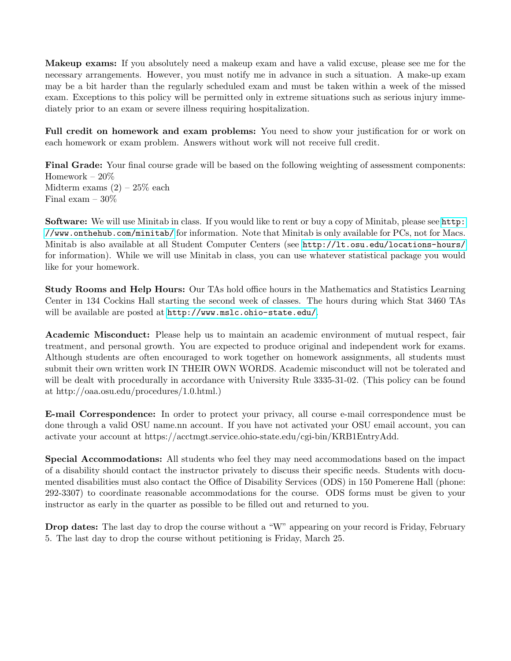Makeup exams: If you absolutely need a makeup exam and have a valid excuse, please see me for the necessary arrangements. However, you must notify me in advance in such a situation. A make-up exam may be a bit harder than the regularly scheduled exam and must be taken within a week of the missed exam. Exceptions to this policy will be permitted only in extreme situations such as serious injury immediately prior to an exam or severe illness requiring hospitalization.

Full credit on homework and exam problems: You need to show your justification for or work on each homework or exam problem. Answers without work will not receive full credit.

Final Grade: Your final course grade will be based on the following weighting of assessment components: Homework – 20% Midterm exams  $(2) - 25\%$  each Final exam – 30%

Software: We will use Minitab in class. If you would like to rent or buy a copy of Minitab, please see [http:](http://www.onthehub.com/minitab/) [//www.onthehub.com/minitab/](http://www.onthehub.com/minitab/) for information. Note that Minitab is only available for PCs, not for Macs. Minitab is also available at all Student Computer Centers (see <http://lt.osu.edu/locations-hours/> for information). While we will use Minitab in class, you can use whatever statistical package you would like for your homework.

Study Rooms and Help Hours: Our TAs hold office hours in the Mathematics and Statistics Learning Center in 134 Cockins Hall starting the second week of classes. The hours during which Stat 3460 TAs will be available are posted at <http://www.mslc.ohio-state.edu/>.

Academic Misconduct: Please help us to maintain an academic environment of mutual respect, fair treatment, and personal growth. You are expected to produce original and independent work for exams. Although students are often encouraged to work together on homework assignments, all students must submit their own written work IN THEIR OWN WORDS. Academic misconduct will not be tolerated and will be dealt with procedurally in accordance with University Rule 3335-31-02. (This policy can be found at http://oaa.osu.edu/procedures/1.0.html.)

E-mail Correspondence: In order to protect your privacy, all course e-mail correspondence must be done through a valid OSU name.nn account. If you have not activated your OSU email account, you can activate your account at https://acctmgt.service.ohio-state.edu/cgi-bin/KRB1EntryAdd.

Special Accommodations: All students who feel they may need accommodations based on the impact of a disability should contact the instructor privately to discuss their specific needs. Students with documented disabilities must also contact the Office of Disability Services (ODS) in 150 Pomerene Hall (phone: 292-3307) to coordinate reasonable accommodations for the course. ODS forms must be given to your instructor as early in the quarter as possible to be filled out and returned to you.

Drop dates: The last day to drop the course without a "W" appearing on your record is Friday, February 5. The last day to drop the course without petitioning is Friday, March 25.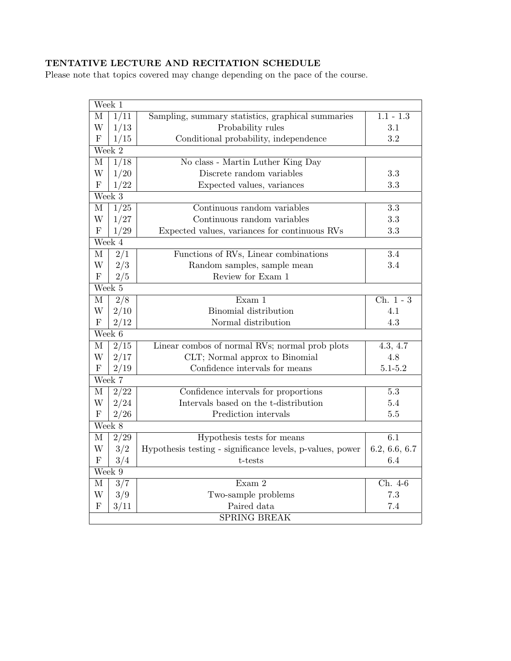## TENTATIVE LECTURE AND RECITATION SCHEDULE

Please note that topics covered may change depending on the pace of the course.

| Week 1              |                     |                                                           |                        |  |  |  |
|---------------------|---------------------|-----------------------------------------------------------|------------------------|--|--|--|
| М                   | 1/11                | Sampling, summary statistics, graphical summaries         | $1.1 - \overline{1.3}$ |  |  |  |
| W                   | 1/13                | Probability rules                                         | 3.1                    |  |  |  |
| $\mathbf{F}$        | 1/15                | Conditional probability, independence                     | 3.2                    |  |  |  |
| Week 2              |                     |                                                           |                        |  |  |  |
| $\mathbf{M}$        | $\frac{1}{18}$      | No class - Martin Luther King Day                         |                        |  |  |  |
| W                   | 1/20                | Discrete random variables                                 | 3.3                    |  |  |  |
| ${\bf F}$           | 1/22                | Expected values, variances                                | 3.3                    |  |  |  |
|                     | Week 3              |                                                           |                        |  |  |  |
| М                   | $\frac{1}{25}$      | Continuous random variables                               | 3.3                    |  |  |  |
| W                   | 1/27                | Continuous random variables                               | 3.3                    |  |  |  |
| $\mathbf F$         | 1/29                | Expected values, variances for continuous RVs             | 3.3                    |  |  |  |
| Week $\overline{4}$ |                     |                                                           |                        |  |  |  |
| M                   | 2/1                 | Functions of RVs, Linear combinations                     | 3.4                    |  |  |  |
| W                   | 2/3                 | Random samples, sample mean                               | 3.4                    |  |  |  |
| ${\bf F}$           | 2/5                 | Review for Exam 1                                         |                        |  |  |  |
| Week 5              |                     |                                                           |                        |  |  |  |
| М                   | 2/8                 | Exam 1                                                    | Ch. $1 - 3$            |  |  |  |
| W                   | 2/10                | Binomial distribution                                     | 4.1                    |  |  |  |
| $\mathbf{F}$        | 2/12                | Normal distribution                                       | 4.3                    |  |  |  |
| Week 6              |                     |                                                           |                        |  |  |  |
| $\mathbf{M}$        | $\sqrt{2/15}$       | Linear combos of normal RVs; normal prob plots            | 4.3, 4.7               |  |  |  |
| W                   | 2/17                | CLT; Normal approx to Binomial                            | 4.8                    |  |  |  |
| ${\bf F}$           | 2/19                | Confidence intervals for means                            | $5.1 - 5.2$            |  |  |  |
| Week 7              |                     |                                                           |                        |  |  |  |
| $\mathbf M$         | $\sqrt{2/22}$       | Confidence intervals for proportions                      | $\overline{5.3}$       |  |  |  |
| W                   | 2/24                | Intervals based on the t-distribution                     | 5.4                    |  |  |  |
| $\mathbf F$         | 2/26                | Prediction intervals                                      | $5.5\,$                |  |  |  |
| Week 8              |                     |                                                           |                        |  |  |  |
| $\mathbf{M}$        | 2/29                | Hypothesis tests for means                                | 6.1                    |  |  |  |
| W                   | 3/2                 | Hypothesis testing - significance levels, p-values, power | 6.2, 6.6, 6.7          |  |  |  |
| ${\bf F}$           | 3/4                 | t-tests                                                   | 6.4                    |  |  |  |
| Week 9              |                     |                                                           |                        |  |  |  |
| $\mathbf M$         | 3/7                 | Exam 2                                                    | Ch. 4-6                |  |  |  |
| W                   | 3/9                 | Two-sample problems                                       | 7.3                    |  |  |  |
| ${\bf F}$           | 3/11                | Paired data                                               | 7.4                    |  |  |  |
|                     | <b>SPRING BREAK</b> |                                                           |                        |  |  |  |